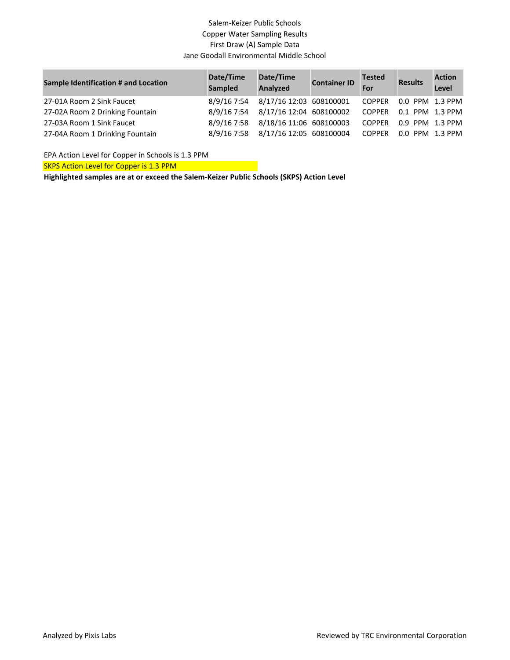# Salem-Keizer Public Schools Copper Water Sampling Results First Draw (A) Sample Data Jane Goodall Environmental Middle School

| <b>Sample Identification # and Location</b> | Date/Time<br><b>Sampled</b> | Date/Time<br>Analyzed   | <b>Container ID</b> | <b>Tested</b><br>For | <b>Results</b>  | <b>Action</b><br>Level |
|---------------------------------------------|-----------------------------|-------------------------|---------------------|----------------------|-----------------|------------------------|
| 27-01A Room 2 Sink Faucet                   | 8/9/16 7:54                 | 8/17/16 12:03 608100001 |                     | <b>COPPER</b>        | 0.0 PPM 1.3 PPM |                        |
| 27-02A Room 2 Drinking Fountain             | 8/9/16 7:54                 | 8/17/16 12:04 608100002 |                     | <b>COPPER</b>        | 0.1 PPM 1.3 PPM |                        |
| 27-03A Room 1 Sink Faucet                   | 8/9/16 7:58                 | 8/18/16 11:06 608100003 |                     | <b>COPPER</b>        | 0.9 PPM 1.3 PPM |                        |
| 27-04A Room 1 Drinking Fountain             | 8/9/16 7:58                 | 8/17/16 12:05 608100004 |                     | <b>COPPER</b>        | 0.0 PPM 1.3 PPM |                        |

EPA Action Level for Copper in Schools is 1.3 PPM

SKPS Action Level for Copper is 1.3 PPM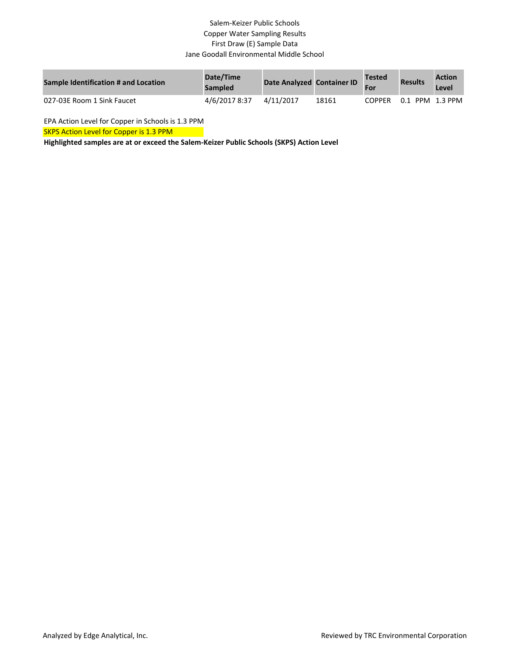## Salem-Keizer Public Schools Copper Water Sampling Results First Draw (E) Sample Data Jane Goodall Environmental Middle School

| <b>Sample Identification # and Location</b> | Date/Time<br><b>Sampled</b> | Date Analyzed Container ID |       | Tested<br>For | <b>Results</b> | <b>Action</b><br>Level |
|---------------------------------------------|-----------------------------|----------------------------|-------|---------------|----------------|------------------------|
| 027-03E Room 1 Sink Faucet                  | 4/6/2017 8:37               | 4/11/2017                  | 18161 | <b>COPPER</b> | 0.1            | $PPM$ 1.3 PPM          |

EPA Action Level for Copper in Schools is 1.3 PPM

SKPS Action Level for Copper is 1.3 PPM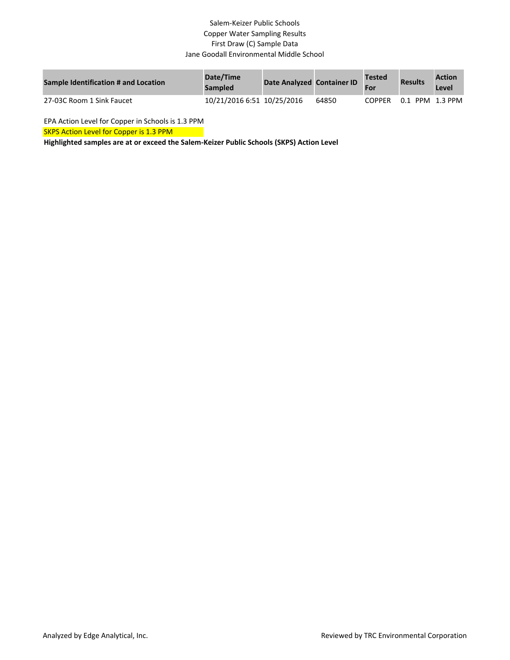## Salem-Keizer Public Schools Copper Water Sampling Results First Draw (C) Sample Data Jane Goodall Environmental Middle School

| <b>Sample Identification # and Location</b> | Date/Time<br><b>Sampled</b> | Date Analyzed Container ID |       | Tested<br>For | <b>Results</b> | <b>Action</b><br>Level |
|---------------------------------------------|-----------------------------|----------------------------|-------|---------------|----------------|------------------------|
| 27-03C Room 1 Sink Faucet                   | 10/21/2016 6:51 10/25/2016  |                            | 64850 | COPPER        | 0.1            | PPM 1.3 PPM            |

EPA Action Level for Copper in Schools is 1.3 PPM

SKPS Action Level for Copper is 1.3 PPM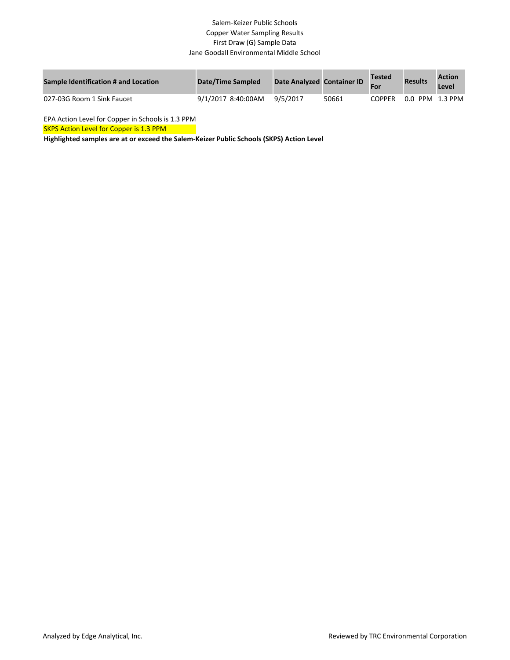#### Salem-Keizer Public Schools Copper Water Sampling Results First Draw (G) Sample Data Jane Goodall Environmental Middle School

| Sample Identification # and Location | Date/Time Sampled  | Date Analyzed Container ID |       | <b>Tested</b> | <b>Results</b>  | <b>Action</b><br>Level |
|--------------------------------------|--------------------|----------------------------|-------|---------------|-----------------|------------------------|
| 027-03G Room 1 Sink Faucet           | 9/1/2017 8:40:00AM | 9/5/2017                   | 50661 | <b>COPPER</b> | 0.0 PPM 1.3 PPM |                        |

EPA Action Level for Copper in Schools is 1.3 PPM

SKPS Action Level for Copper is 1.3 PPM